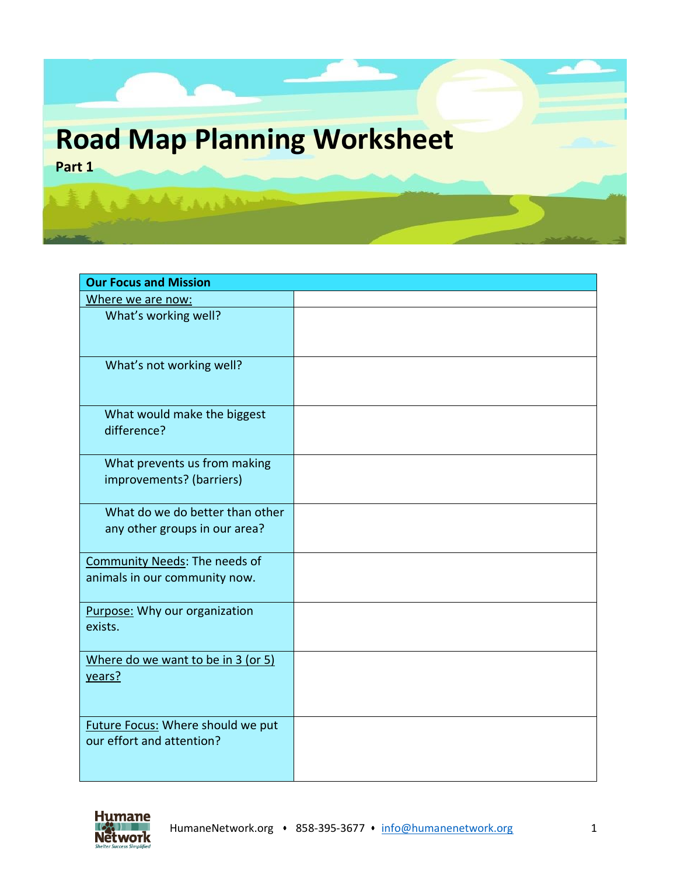

| <b>Our Focus and Mission</b>                                          |  |
|-----------------------------------------------------------------------|--|
| Where we are now:                                                     |  |
| What's working well?                                                  |  |
| What's not working well?                                              |  |
| What would make the biggest<br>difference?                            |  |
| What prevents us from making<br>improvements? (barriers)              |  |
| What do we do better than other<br>any other groups in our area?      |  |
| <b>Community Needs: The needs of</b><br>animals in our community now. |  |
| Purpose: Why our organization<br>exists.                              |  |
| Where do we want to be in 3 (or 5)<br>years?                          |  |
| <b>Future Focus: Where should we put</b><br>our effort and attention? |  |

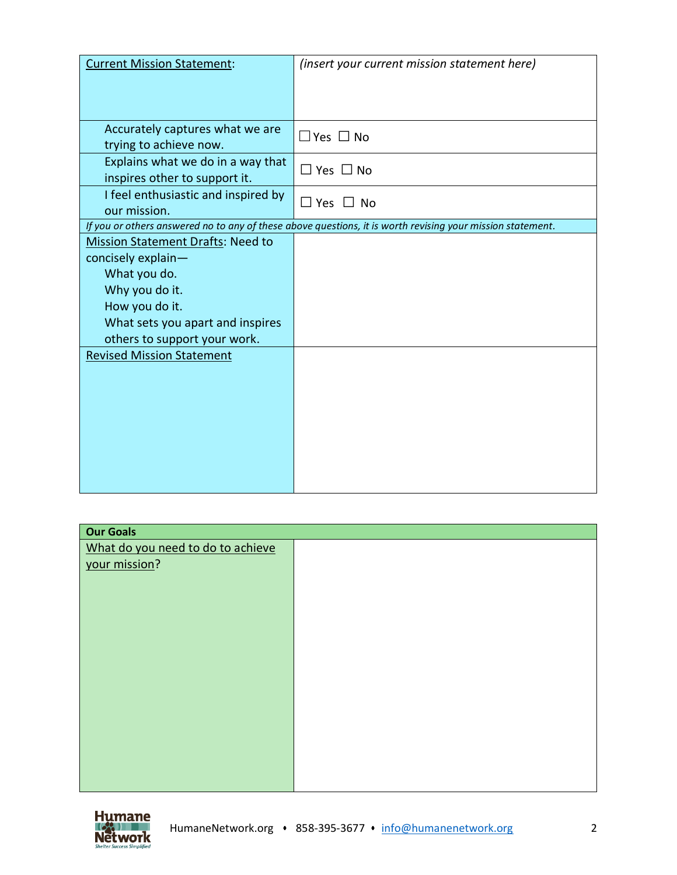| <b>Current Mission Statement:</b>        | (insert your current mission statement here)                                                               |
|------------------------------------------|------------------------------------------------------------------------------------------------------------|
|                                          |                                                                                                            |
|                                          |                                                                                                            |
|                                          |                                                                                                            |
| Accurately captures what we are          |                                                                                                            |
| trying to achieve now.                   | $\Box$ Yes $\Box$ No                                                                                       |
| Explains what we do in a way that        |                                                                                                            |
| inspires other to support it.            | $\square$ Yes $\square$ No                                                                                 |
| I feel enthusiastic and inspired by      |                                                                                                            |
| our mission.                             | $\Box$ Yes $\Box$ No                                                                                       |
|                                          | If you or others answered no to any of these above questions, it is worth revising your mission statement. |
| <b>Mission Statement Drafts: Need to</b> |                                                                                                            |
|                                          |                                                                                                            |
| concisely explain-                       |                                                                                                            |
| What you do.                             |                                                                                                            |
| Why you do it.                           |                                                                                                            |
| How you do it.                           |                                                                                                            |
| What sets you apart and inspires         |                                                                                                            |
| others to support your work.             |                                                                                                            |
| <b>Revised Mission Statement</b>         |                                                                                                            |
|                                          |                                                                                                            |
|                                          |                                                                                                            |
|                                          |                                                                                                            |
|                                          |                                                                                                            |
|                                          |                                                                                                            |
|                                          |                                                                                                            |
|                                          |                                                                                                            |
|                                          |                                                                                                            |
|                                          |                                                                                                            |

| <b>Our Goals</b>                  |  |  |
|-----------------------------------|--|--|
| What do you need to do to achieve |  |  |
| your mission?                     |  |  |
|                                   |  |  |
|                                   |  |  |
|                                   |  |  |
|                                   |  |  |
|                                   |  |  |
|                                   |  |  |
|                                   |  |  |
|                                   |  |  |
|                                   |  |  |
|                                   |  |  |
|                                   |  |  |
|                                   |  |  |
|                                   |  |  |
|                                   |  |  |
|                                   |  |  |